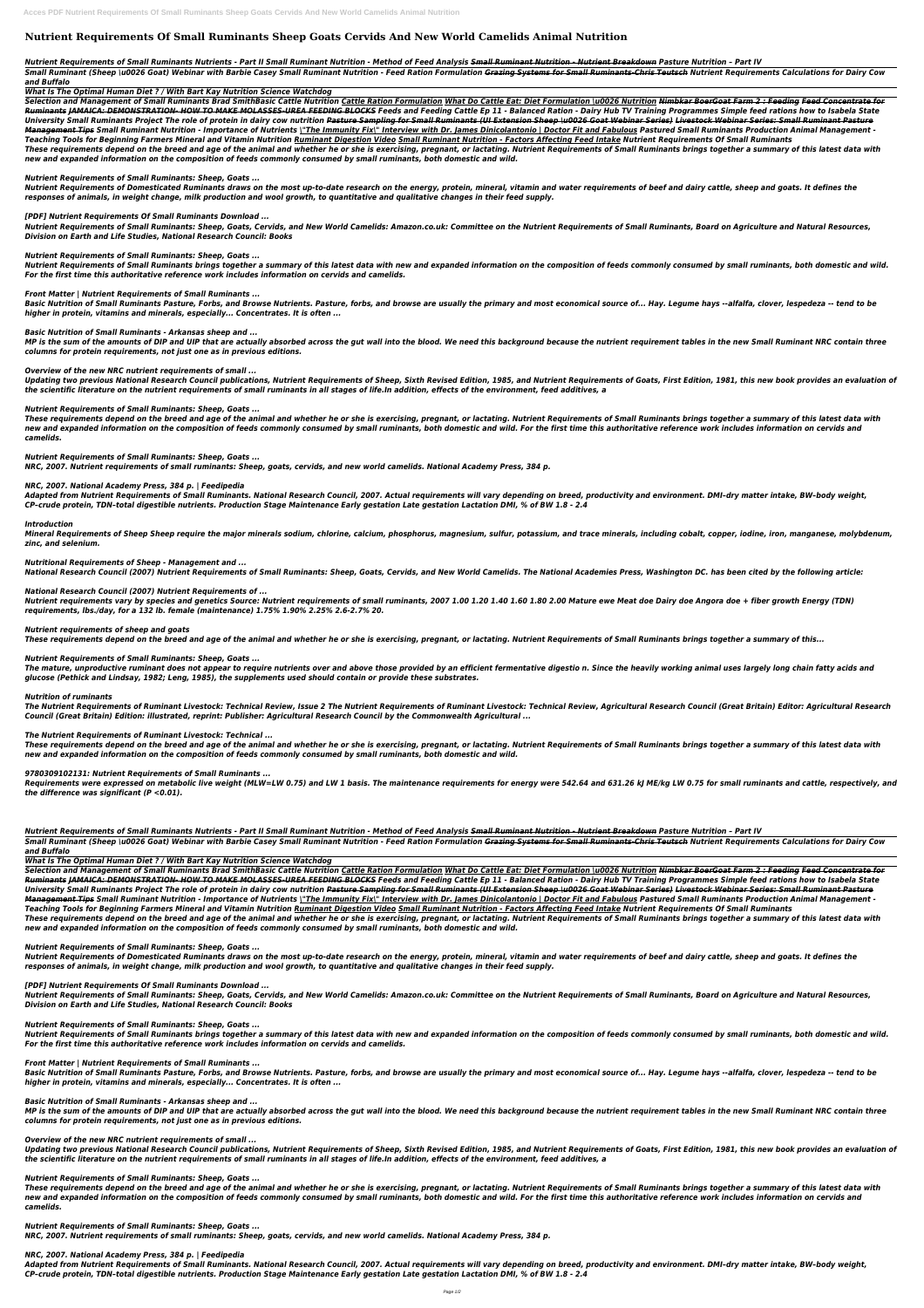# **Nutrient Requirements Of Small Ruminants Sheep Goats Cervids And New World Camelids Animal Nutrition**

#### *Nutrient Requirements of Small Ruminants Nutrients - Part II Small Ruminant Nutrition - Method of Feed Analysis Small Ruminant Nutrition - Nutrient Breakdown Pasture Nutrition – Part IV*

*Small Ruminant (Sheep \u0026 Goat) Webinar with Barbie Casey Small Ruminant Nutrition - Feed Ration Formulation Grazing Systems for Small Ruminants-Chris Teutsch Nutrient Requirements Calculations for Dairy Cow and Buffalo* 

*What Is The Optimal Human Diet ? / With Bart Kay Nutrition Science Watchdog*

Selection and Management of Small Ruminants Brad SmithBasic Cattle Nutrition Cattle Ration Formulation What Do Cattle Eat: Diet Formulation \u0026 Nutrition Nimbkar BoerGoat Farm 2 : Feeding Feed Concentrate for Ruminants JAMAICA: DEMONSTRATION- HOW TO MAKE MOLASSES-UREA FEEDING BLOCKS Feeds and Feeding Cattle Ep 11 - Balanced Ration - Dairy Hub TV Training Programmes Simple feed rations how to Isabela State University Small Ruminants Project The role of protein in dairy cow nutrition <del>Pasture Sampling for Small Ruminants (UI Extension Sheep \u0026 Goat Webinar Series) Livestock Webinar Series: Small Ruminant Pasture</del> Management Tips Small Ruminant Nutrition - Importance of Nutrients |"The Immunity Fix|" Interview with Dr. James Dinicolantonio | Doctor Fit and Fabulous Pastured Small Ruminants Production Animal Management -*Teaching Tools for Beginning Farmers Mineral and Vitamin Nutrition Ruminant Digestion Video Small Ruminant Nutrition - Factors Affecting Feed Intake Nutrient Requirements Of Small Ruminants These requirements depend on the breed and age of the animal and whether he or she is exercising, pregnant, or lactating. Nutrient Requirements of Small Ruminants brings together a summary of this latest data with new and expanded information on the composition of feeds commonly consumed by small ruminants, both domestic and wild.*

#### *Nutrient Requirements of Small Ruminants: Sheep, Goats ...*

Updating two previous National Research Council publications, Nutrient Requirements of Sheep, Sixth Revised Edition, 1985, and Nutrient Requirements of Goats, First Edition, 1981, this new book provides an evaluation of *the scientific literature on the nutrient requirements of small ruminants in all stages of life.In addition, effects of the environment, feed additives, a*

*Nutrient Requirements of Domesticated Ruminants draws on the most up-to-date research on the energy, protein, mineral, vitamin and water requirements of beef and dairy cattle, sheep and goats. It defines the responses of animals, in weight change, milk production and wool growth, to quantitative and qualitative changes in their feed supply.*

*[PDF] Nutrient Requirements Of Small Ruminants Download ...*

*Nutrient Requirements of Small Ruminants: Sheep, Goats, Cervids, and New World Camelids: Amazon.co.uk: Committee on the Nutrient Requirements of Small Ruminants, Board on Agriculture and Natural Resources, Division on Earth and Life Studies, National Research Council: Books*

*Nutrient Requirements of Small Ruminants: Sheep, Goats ...*

*Nutrient Requirements of Small Ruminants brings together a summary of this latest data with new and expanded information on the composition of feeds commonly consumed by small ruminants, both domestic and wild. For the first time this authoritative reference work includes information on cervids and camelids.*

*Front Matter | Nutrient Requirements of Small Ruminants ...*

*Basic Nutrition of Small Ruminants Pasture, Forbs, and Browse Nutrients. Pasture, forbs, and browse are usually the primary and most economical source of... Hay. Legume hays --alfalfa, clover, lespedeza -- tend to be higher in protein, vitamins and minerals, especially... Concentrates. It is often ...*

*Basic Nutrition of Small Ruminants - Arkansas sheep and ...*

*MP is the sum of the amounts of DIP and UIP that are actually absorbed across the gut wall into the blood. We need this background because the nutrient requirement tables in the new Small Ruminant NRC contain three columns for protein requirements, not just one as in previous editions.*

*Overview of the new NRC nutrient requirements of small ...*

*Nutrient Requirements of Small Ruminants: Sheep, Goats ...*

*These requirements depend on the breed and age of the animal and whether he or she is exercising, pregnant, or lactating. Nutrient Requirements of Small Ruminants brings together a summary of this latest data with new and expanded information on the composition of feeds commonly consumed by small ruminants, both domestic and wild. For the first time this authoritative reference work includes information on cervids and camelids.*

*Nutrient Requirements of Small Ruminants: Sheep, Goats ...*

Selection and Management of Small Ruminants Brad SmithBasic Cattle Nutrition Cattle Ration Formulation What Do Cattle Eat: Diet Formulation \u0026 Nutrition Nimbkar BoerGoat Farm 2 : Feeding Feed Concentrate for Ruminants JAMAICA: DEMONSTRATION- HOW TO MAKE MOLASSES-UREA FEEDING BLOCKS Feeds and Feeding Cattle Ep 11 - Balanced Ration - Dairy Hub TV Training Programmes Simple feed rations how to Isabela State University Small Ruminants Project The role of protein in dairy cow nutrition <del>Pasture Sampling for Small Ruminants (UI Extension Sheep \u0026 Goat Webinar Series) Livestock Webinar Series: Small Ruminant Pasture</del> Management Tips Small Ruminant Nutrition - Importance of Nutrients \"The Immunity Fix\" Interview with Dr. James Dinicolantonio | Doctor Fit and Fabulous Pastured Small Ruminants Production Animal Management -*Teaching Tools for Beginning Farmers Mineral and Vitamin Nutrition Ruminant Digestion Video Small Ruminant Nutrition - Factors Affecting Feed Intake Nutrient Requirements Of Small Ruminants These requirements depend on the breed and age of the animal and whether he or she is exercising, pregnant, or lactating. Nutrient Requirements of Small Ruminants brings together a summary of this latest data with new and expanded information on the composition of feeds commonly consumed by small ruminants, both domestic and wild.*

*NRC, 2007. Nutrient requirements of small ruminants: Sheep, goats, cervids, and new world camelids. National Academy Press, 384 p.*

#### *NRC, 2007. National Academy Press, 384 p. | Feedipedia*

*Adapted from Nutrient Requirements of Small Ruminants. National Research Council, 2007. Actual requirements will vary depending on breed, productivity and environment. DMI–dry matter intake, BW–body weight, CP–crude protein, TDN–total digestible nutrients. Production Stage Maintenance Early gestation Late gestation Lactation DMI, % of BW 1.8 - 2.4*

#### *Introduction*

*Mineral Requirements of Sheep Sheep require the major minerals sodium, chlorine, calcium, phosphorus, magnesium, sulfur, potassium, and trace minerals, including cobalt, copper, iodine, iron, manganese, molybdenum, zinc, and selenium.*

#### *Nutritional Requirements of Sheep - Management and ...*

*National Research Council (2007) Nutrient Requirements of Small Ruminants: Sheep, Goats, Cervids, and New World Camelids. The National Academies Press, Washington DC. has been cited by the following article:*

# *National Research Council (2007) Nutrient Requirements of ...*

Updating two previous National Research Council publications, Nutrient Requirements of Sheep, Sixth Revised Edition, 1985, and Nutrient Requirements of Goats, First Edition, 1981, this new book provides an evaluation of *the scientific literature on the nutrient requirements of small ruminants in all stages of life.In addition, effects of the environment, feed additives, a*

*Nutrient requirements vary by species and genetics Source: Nutrient requirements of small ruminants, 2007 1.00 1.20 1.40 1.60 1.80 2.00 Mature ewe Meat doe Dairy doe Angora doe + fiber growth Energy (TDN) requirements, lbs./day, for a 132 lb. female (maintenance) 1.75% 1.90% 2.25% 2.6-2.7% 20.*

#### *Nutrient requirements of sheep and goats*

*These requirements depend on the breed and age of the animal and whether he or she is exercising, pregnant, or lactating. Nutrient Requirements of Small Ruminants brings together a summary of this...*

#### *Nutrient Requirements of Small Ruminants: Sheep, Goats ...*

*The mature, unproductive ruminant does not appear to require nutrients over and above those provided by an efficient fermentative digestio n. Since the heavily working animal uses largely long chain fatty acids and glucose (Pethick and Lindsay, 1982; Leng, 1985), the supplements used should contain or provide these substrates.*

#### *Nutrition of ruminants*

*The Nutrient Requirements of Ruminant Livestock: Technical Review, Issue 2 The Nutrient Requirements of Ruminant Livestock: Technical Review, Agricultural Research Council (Great Britain) Editor: Agricultural Research Council (Great Britain) Edition: illustrated, reprint: Publisher: Agricultural Research Council by the Commonwealth Agricultural ...*

#### *The Nutrient Requirements of Ruminant Livestock: Technical ...*

*These requirements depend on the breed and age of the animal and whether he or she is exercising, pregnant, or lactating. Nutrient Requirements of Small Ruminants brings together a summary of this latest data with new and expanded information on the composition of feeds commonly consumed by small ruminants, both domestic and wild.*

#### *9780309102131: Nutrient Requirements of Small Ruminants ...*

*Requirements were expressed on metabolic live weight (MLW=LW 0.75) and LW 1 basis. The maintenance requirements for energy were 542.64 and 631.26 kJ ME/kg LW 0.75 for small ruminants and cattle, respectively, and the difference was significant (P <0.01).*

*Nutrient Requirements of Small Ruminants Nutrients - Part II Small Ruminant Nutrition - Method of Feed Analysis Small Ruminant Nutrition - Nutrient Breakdown Pasture Nutrition – Part IV*

*Small Ruminant (Sheep \u0026 Goat) Webinar with Barbie Casey Small Ruminant Nutrition - Feed Ration Formulation Grazing Systems for Small Ruminants-Chris Teutsch Nutrient Requirements Calculations for Dairy Cow and Buffalo* 

*What Is The Optimal Human Diet ? / With Bart Kay Nutrition Science Watchdog*

# *Nutrient Requirements of Small Ruminants: Sheep, Goats ...*

*Nutrient Requirements of Domesticated Ruminants draws on the most up-to-date research on the energy, protein, mineral, vitamin and water requirements of beef and dairy cattle, sheep and goats. It defines the responses of animals, in weight change, milk production and wool growth, to quantitative and qualitative changes in their feed supply.*

*[PDF] Nutrient Requirements Of Small Ruminants Download ...*

*Nutrient Requirements of Small Ruminants: Sheep, Goats, Cervids, and New World Camelids: Amazon.co.uk: Committee on the Nutrient Requirements of Small Ruminants, Board on Agriculture and Natural Resources, Division on Earth and Life Studies, National Research Council: Books*

*Nutrient Requirements of Small Ruminants: Sheep, Goats ...*

*Nutrient Requirements of Small Ruminants brings together a summary of this latest data with new and expanded information on the composition of feeds commonly consumed by small ruminants, both domestic and wild. For the first time this authoritative reference work includes information on cervids and camelids.*

*Front Matter | Nutrient Requirements of Small Ruminants ...*

*Basic Nutrition of Small Ruminants Pasture, Forbs, and Browse Nutrients. Pasture, forbs, and browse are usually the primary and most economical source of... Hay. Legume hays --alfalfa, clover, lespedeza -- tend to be higher in protein, vitamins and minerals, especially... Concentrates. It is often ...*

*Basic Nutrition of Small Ruminants - Arkansas sheep and ...*

*MP is the sum of the amounts of DIP and UIP that are actually absorbed across the gut wall into the blood. We need this background because the nutrient requirement tables in the new Small Ruminant NRC contain three columns for protein requirements, not just one as in previous editions.*

*Overview of the new NRC nutrient requirements of small ...*

*Nutrient Requirements of Small Ruminants: Sheep, Goats ...*

*These requirements depend on the breed and age of the animal and whether he or she is exercising, pregnant, or lactating. Nutrient Requirements of Small Ruminants brings together a summary of this latest data with new and expanded information on the composition of feeds commonly consumed by small ruminants, both domestic and wild. For the first time this authoritative reference work includes information on cervids and camelids.*

*Nutrient Requirements of Small Ruminants: Sheep, Goats ...*

*NRC, 2007. Nutrient requirements of small ruminants: Sheep, goats, cervids, and new world camelids. National Academy Press, 384 p.*

#### *NRC, 2007. National Academy Press, 384 p. | Feedipedia*

*Adapted from Nutrient Requirements of Small Ruminants. National Research Council, 2007. Actual requirements will vary depending on breed, productivity and environment. DMI–dry matter intake, BW–body weight, CP–crude protein, TDN–total digestible nutrients. Production Stage Maintenance Early gestation Late gestation Lactation DMI, % of BW 1.8 - 2.4*